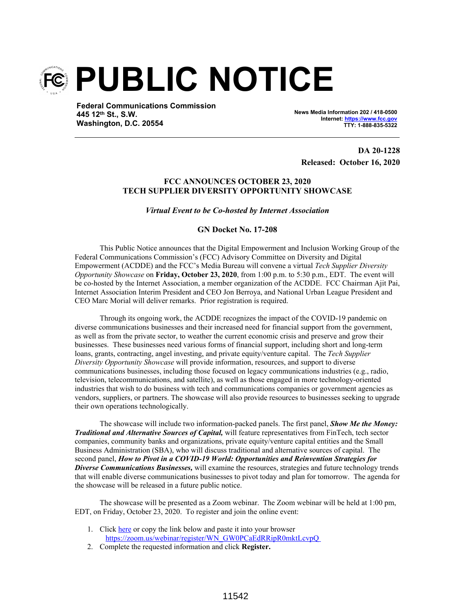

**Federal Communications Commission 445 12th St., S.W. Washington, D.C. 20554**

**News Media Information 202 / 418-0500 Internet: https://www.fcc.gov TTY: 1-888-835-5322**

**DA 20-1228 Released: October 16, 2020**

## **FCC ANNOUNCES OCTOBER 23, 2020 TECH SUPPLIER DIVERSITY OPPORTUNITY SHOWCASE**

*Virtual Event to be Co-hosted by Internet Association*

## **GN Docket No. 17-208**

This Public Notice announces that the Digital Empowerment and Inclusion Working Group of the Federal Communications Commission's (FCC) Advisory Committee on Diversity and Digital Empowerment (ACDDE) and the FCC's Media Bureau will convene a virtual *Tech Supplier Diversity Opportunity Showcase* on **Friday, October 23, 2020**, from 1:00 p.m. to 5:30 p.m., EDT. The event will be co-hosted by the Internet Association, a member organization of the ACDDE. FCC Chairman Ajit Pai, Internet Association Interim President and CEO Jon Berroya, and National Urban League President and CEO Marc Morial will deliver remarks. Prior registration is required.

Through its ongoing work, the ACDDE recognizes the impact of the COVID-19 pandemic on diverse communications businesses and their increased need for financial support from the government, as well as from the private sector, to weather the current economic crisis and preserve and grow their businesses. These businesses need various forms of financial support, including short and long-term loans, grants, contracting, angel investing, and private equity/venture capital. The *Tech Supplier Diversity Opportunity Showcase* will provide information, resources, and support to diverse communications businesses, including those focused on legacy communications industries (e.g., radio, television, telecommunications, and satellite), as well as those engaged in more technology-oriented industries that wish to do business with tech and communications companies or government agencies as vendors, suppliers, or partners. The showcase will also provide resources to businesses seeking to upgrade their own operations technologically.

The showcase will include two information-packed panels. The first panel, *Show Me the Money: Traditional and Alternative Sources of Capital,* will feature representatives from FinTech, tech sector companies, community banks and organizations, private equity/venture capital entities and the Small Business Administration (SBA), who will discuss traditional and alternative sources of capital. The second panel, *How to Pivot in a COVID-19 World: Opportunities and Reinvention Strategies for Diverse Communications Businesses,* will examine the resources, strategies and future technology trends that will enable diverse communications businesses to pivot today and plan for tomorrow. The agenda for the showcase will be released in a future public notice.

The showcase will be presented as a Zoom webinar. The Zoom webinar will be held at 1:00 pm, EDT, on Friday, October 23, 2020. To register and join the online event:

- 1. Click here or copy the link below and paste it into your browser https://zoom.us/webinar/register/WN\_GW0PCaEdRRipR0mktLcvpQ
- 2. Complete the requested information and click **Register.**